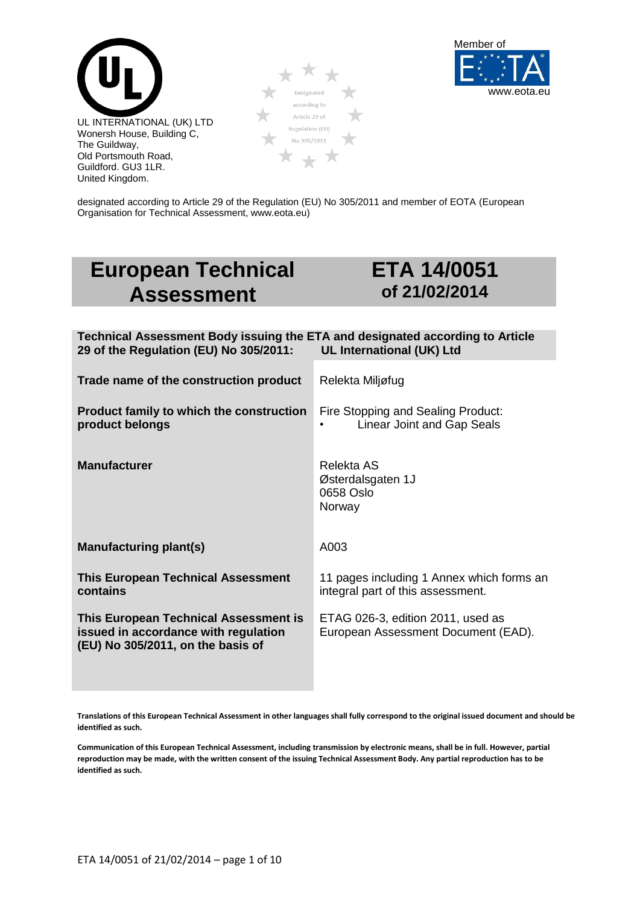





designated according to Article 29 of the Regulation (EU) No 305/2011 and member of EOTA (European Organisation for Technical Assessment, www.eota.eu)

# **European Technical Assessment**

## **ETA 14/0051 of 21/02/2014**

| Technical Assessment Body issuing the ETA and designated according to Article<br>29 of the Regulation (EU) No 305/2011: | UL International (UK) Ltd                                                      |
|-------------------------------------------------------------------------------------------------------------------------|--------------------------------------------------------------------------------|
| Trade name of the construction product                                                                                  | Relekta Miljøfug                                                               |
| <b>Product family to which the construction</b><br>product belongs                                                      | Fire Stopping and Sealing Product:<br>Linear Joint and Gap Seals               |
| <b>Manufacturer</b>                                                                                                     | Relekta AS<br>Østerdalsgaten 1J<br>0658 Oslo<br>Norway                         |
| Manufacturing plant(s)                                                                                                  | A003                                                                           |
| <b>This European Technical Assessment</b><br>contains                                                                   | 11 pages including 1 Annex which forms an<br>integral part of this assessment. |
| This European Technical Assessment is<br>issued in accordance with regulation<br>(EU) No 305/2011, on the basis of      | ETAG 026-3, edition 2011, used as<br>European Assessment Document (EAD).       |

**Translations of this European Technical Assessment in other languages shall fully correspond to the original issued document and should be identified as such.**

**Communication of this European Technical Assessment, including transmission by electronic means, shall be in full. However, partial reproduction may be made, with the written consent of the issuing Technical Assessment Body. Any partial reproduction has to be identified as such.**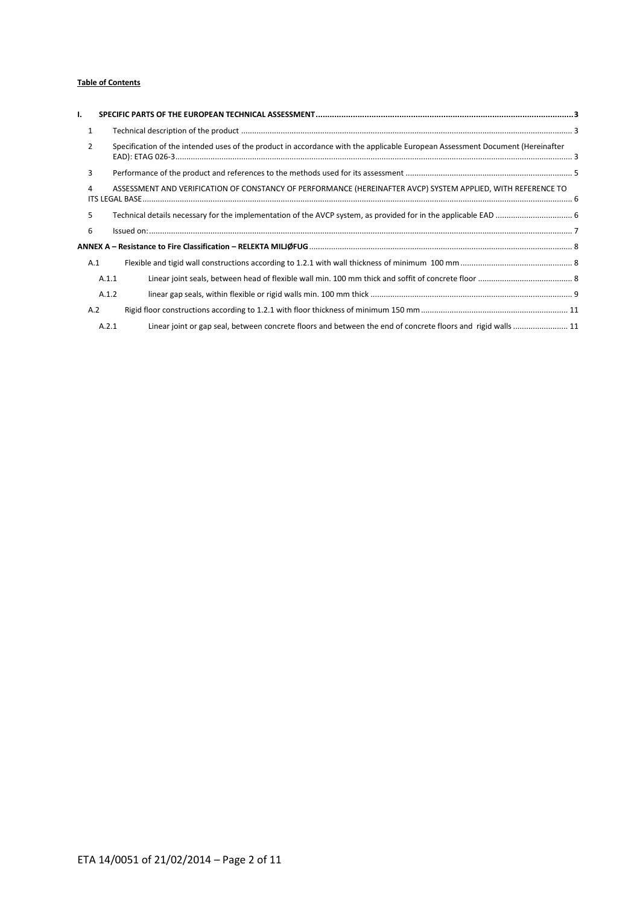#### **Table of Contents**

| ۱.             |                                                                                                                               |  |
|----------------|-------------------------------------------------------------------------------------------------------------------------------|--|
| 1              |                                                                                                                               |  |
| $\overline{2}$ | Specification of the intended uses of the product in accordance with the applicable European Assessment Document (Hereinafter |  |
| 3              |                                                                                                                               |  |
| 4              | ASSESSMENT AND VERIFICATION OF CONSTANCY OF PERFORMANCE (HEREINAFTER AVCP) SYSTEM APPLIED, WITH REFERENCE TO                  |  |
| 5              |                                                                                                                               |  |
| 6              |                                                                                                                               |  |
|                |                                                                                                                               |  |
| A.1            |                                                                                                                               |  |
| A.1.1          |                                                                                                                               |  |
| A.1.2          |                                                                                                                               |  |
| A.2            |                                                                                                                               |  |
| A.2.1          | Linear joint or gap seal, between concrete floors and between the end of concrete floors and rigid walls 11                   |  |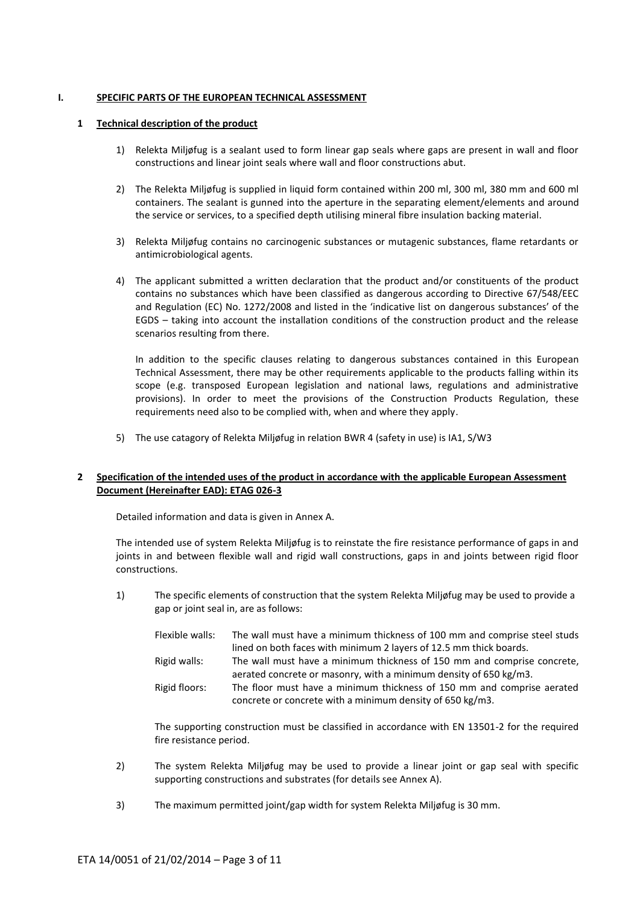#### <span id="page-2-0"></span>**I. SPECIFIC PARTS OF THE EUROPEAN TECHNICAL ASSESSMENT**

#### <span id="page-2-1"></span>**1 Technical description of the product**

- 1) Relekta Miljøfug is a sealant used to form linear gap seals where gaps are present in wall and floor constructions and linear joint seals where wall and floor constructions abut.
- 2) The Relekta Miljøfug is supplied in liquid form contained within 200 ml, 300 ml, 380 mm and 600 ml containers. The sealant is gunned into the aperture in the separating element/elements and around the service or services, to a specified depth utilising mineral fibre insulation backing material.
- 3) Relekta Miljøfug contains no carcinogenic substances or mutagenic substances, flame retardants or antimicrobiological agents.
- 4) The applicant submitted a written declaration that the product and/or constituents of the product contains no substances which have been classified as dangerous according to Directive 67/548/EEC and Regulation (EC) No. 1272/2008 and listed in the 'indicative list on dangerous substances' of the EGDS – taking into account the installation conditions of the construction product and the release scenarios resulting from there.

In addition to the specific clauses relating to dangerous substances contained in this European Technical Assessment, there may be other requirements applicable to the products falling within its scope (e.g. transposed European legislation and national laws, regulations and administrative provisions). In order to meet the provisions of the Construction Products Regulation, these requirements need also to be complied with, when and where they apply.

5) The use catagory of Relekta Miljøfug in relation BWR 4 (safety in use) is IA1, S/W3

#### <span id="page-2-2"></span>**2 Specification of the intended uses of the product in accordance with the applicable European Assessment Document (Hereinafter EAD): ETAG 026-3**

Detailed information and data is given in Annex A.

The intended use of system Relekta Miljøfug is to reinstate the fire resistance performance of gaps in and joints in and between flexible wall and rigid wall constructions, gaps in and joints between rigid floor constructions.

1) The specific elements of construction that the system Relekta Miljøfug may be used to provide a gap or joint seal in, are as follows:

| Flexible walls: | The wall must have a minimum thickness of 100 mm and comprise steel studs |
|-----------------|---------------------------------------------------------------------------|
|                 | lined on both faces with minimum 2 layers of 12.5 mm thick boards.        |
| Rigid walls:    | The wall must have a minimum thickness of 150 mm and comprise concrete,   |
|                 | aerated concrete or masonry, with a minimum density of 650 kg/m3.         |
| Rigid floors:   | The floor must have a minimum thickness of 150 mm and comprise aerated    |
|                 | concrete or concrete with a minimum density of 650 kg/m3.                 |

The supporting construction must be classified in accordance with EN 13501-2 for the required fire resistance period.

- 2) The system Relekta Miljøfug may be used to provide a linear joint or gap seal with specific supporting constructions and substrates (for details see Annex A).
- 3) The maximum permitted joint/gap width for system Relekta Miljøfug is 30 mm.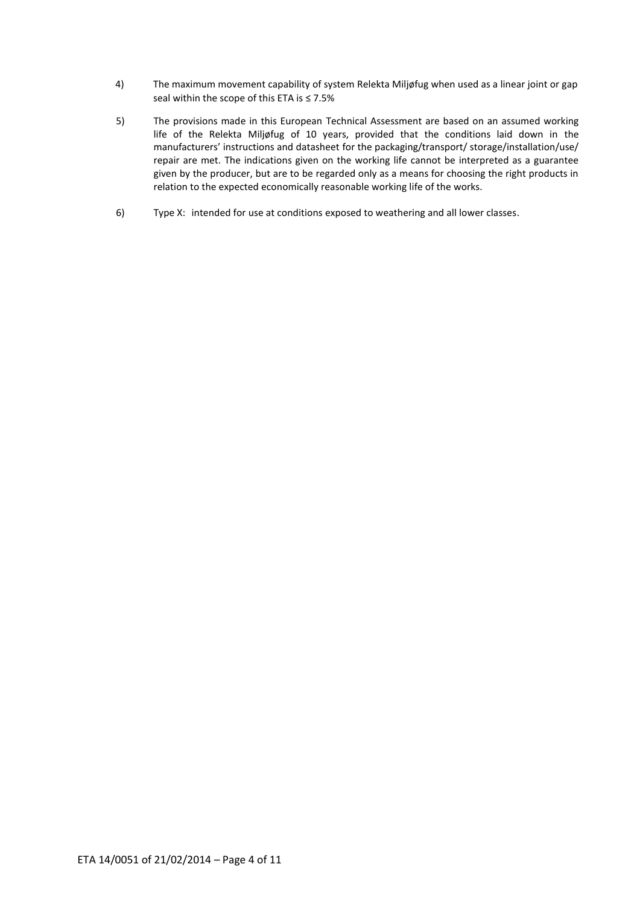- 4) The maximum movement capability of system Relekta Miljøfug when used as a linear joint or gap seal within the scope of this ETA is ≤ 7.5%
- 5) The provisions made in this European Technical Assessment are based on an assumed working life of the Relekta Miljøfug of 10 years, provided that the conditions laid down in the manufacturers' instructions and datasheet for the packaging/transport/ storage/installation/use/ repair are met. The indications given on the working life cannot be interpreted as a guarantee given by the producer, but are to be regarded only as a means for choosing the right products in relation to the expected economically reasonable working life of the works.
- 6) Type X: intended for use at conditions exposed to weathering and all lower classes.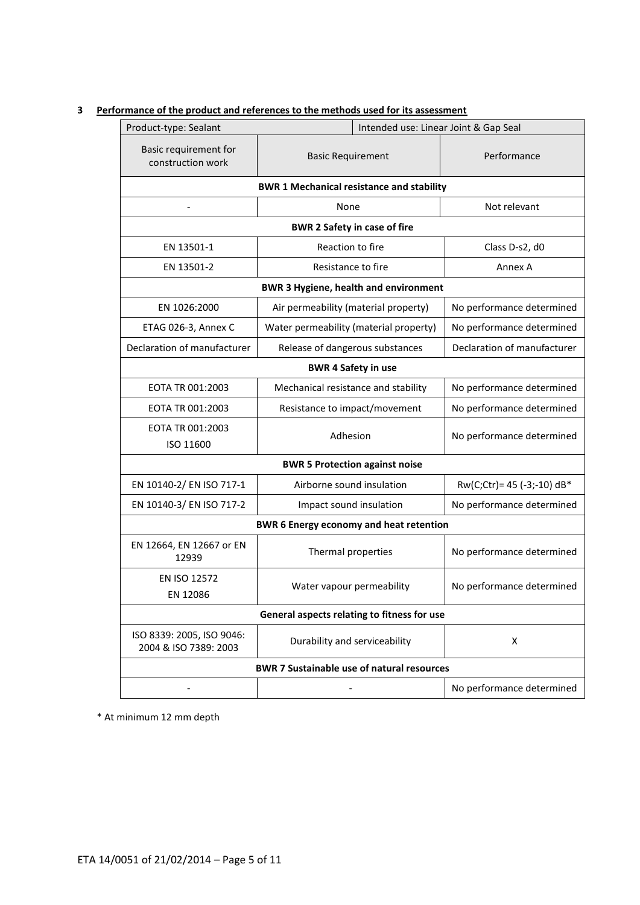| Product-type: Sealant<br>Intended use: Linear Joint & Gap Seal |                                                  |  |                             |
|----------------------------------------------------------------|--------------------------------------------------|--|-----------------------------|
| Basic requirement for<br>construction work                     | <b>Basic Requirement</b>                         |  | Performance                 |
|                                                                | <b>BWR 1 Mechanical resistance and stability</b> |  |                             |
|                                                                | None                                             |  | Not relevant                |
|                                                                | <b>BWR 2 Safety in case of fire</b>              |  |                             |
| EN 13501-1                                                     | Reaction to fire                                 |  | Class D-s2, d0              |
| EN 13501-2                                                     | Resistance to fire                               |  | Annex A                     |
|                                                                | <b>BWR 3 Hygiene, health and environment</b>     |  |                             |
| EN 1026:2000                                                   | Air permeability (material property)             |  | No performance determined   |
| ETAG 026-3, Annex C                                            | Water permeability (material property)           |  | No performance determined   |
| Declaration of manufacturer                                    | Release of dangerous substances                  |  | Declaration of manufacturer |
|                                                                | <b>BWR 4 Safety in use</b>                       |  |                             |
| EOTA TR 001:2003                                               | Mechanical resistance and stability              |  | No performance determined   |
| EOTA TR 001:2003                                               | Resistance to impact/movement                    |  | No performance determined   |
| EOTA TR 001:2003<br>ISO 11600                                  | Adhesion                                         |  | No performance determined   |
|                                                                | <b>BWR 5 Protection against noise</b>            |  |                             |
| EN 10140-2/ EN ISO 717-1                                       | Airborne sound insulation                        |  | Rw(C;Ctr)= 45 (-3;-10) dB*  |
| EN 10140-3/ EN ISO 717-2                                       | Impact sound insulation                          |  | No performance determined   |
| <b>BWR 6 Energy economy and heat retention</b>                 |                                                  |  |                             |
| EN 12664, EN 12667 or EN<br>12939                              | Thermal properties                               |  | No performance determined   |
| EN ISO 12572<br>EN 12086                                       | Water vapour permeability                        |  | No performance determined   |
| General aspects relating to fitness for use                    |                                                  |  |                             |
| ISO 8339: 2005, ISO 9046:<br>2004 & ISO 7389: 2003             | Durability and serviceability                    |  | X                           |
| <b>BWR 7 Sustainable use of natural resources</b>              |                                                  |  |                             |
|                                                                |                                                  |  | No performance determined   |

## <span id="page-4-0"></span>**3 Performance of the product and references to the methods used for its assessment**

\* At minimum 12 mm depth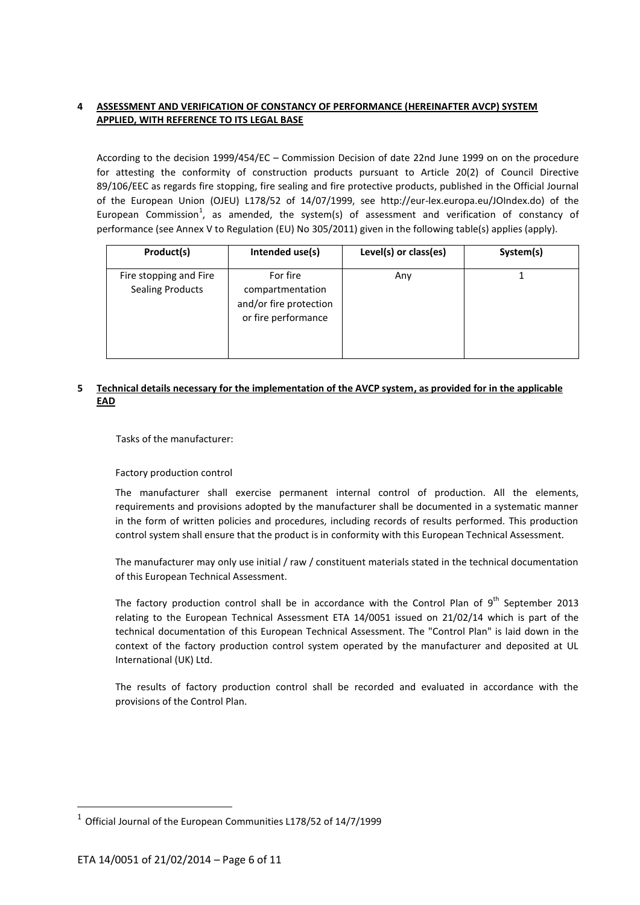## <span id="page-5-0"></span>**4 ASSESSMENT AND VERIFICATION OF CONSTANCY OF PERFORMANCE (HEREINAFTER AVCP) SYSTEM APPLIED, WITH REFERENCE TO ITS LEGAL BASE**

According to the decision 1999/454/EC – Commission Decision of date 22nd June 1999 on on the procedure for attesting the conformity of construction products pursuant to Article 20(2) of Council Directive 89/106/EEC as regards fire stopping, fire sealing and fire protective products, published in the Official Journal of the European Union (OJEU) L178/52 of 14/07/1999, see http://eur-lex.europa.eu/JOIndex.do) of the European Commission<sup>1</sup>, as amended, the system(s) of assessment and verification of constancy of performance (see Annex V to Regulation (EU) No 305/2011) given in the following table(s) applies (apply).

| Product(s)                                        | Intended use(s)                                                               | Level(s) or class(es) | System(s) |
|---------------------------------------------------|-------------------------------------------------------------------------------|-----------------------|-----------|
| Fire stopping and Fire<br><b>Sealing Products</b> | For fire<br>compartmentation<br>and/or fire protection<br>or fire performance | Any                   |           |

#### <span id="page-5-1"></span>**5 Technical details necessary for the implementation of the AVCP system, as provided for in the applicable EAD**

Tasks of the manufacturer:

#### Factory production control

The manufacturer shall exercise permanent internal control of production. All the elements, requirements and provisions adopted by the manufacturer shall be documented in a systematic manner in the form of written policies and procedures, including records of results performed. This production control system shall ensure that the product is in conformity with this European Technical Assessment.

The manufacturer may only use initial / raw / constituent materials stated in the technical documentation of this European Technical Assessment.

The factory production control shall be in accordance with the Control Plan of  $9<sup>th</sup>$  September 2013 relating to the European Technical Assessment ETA 14/0051 issued on 21/02/14 which is part of the technical documentation of this European Technical Assessment. The "Control Plan" is laid down in the context of the factory production control system operated by the manufacturer and deposited at UL International (UK) Ltd.

The results of factory production control shall be recorded and evaluated in accordance with the provisions of the Control Plan.

**.** 

<sup>&</sup>lt;sup>1</sup> Official Journal of the European Communities L178/52 of 14/7/1999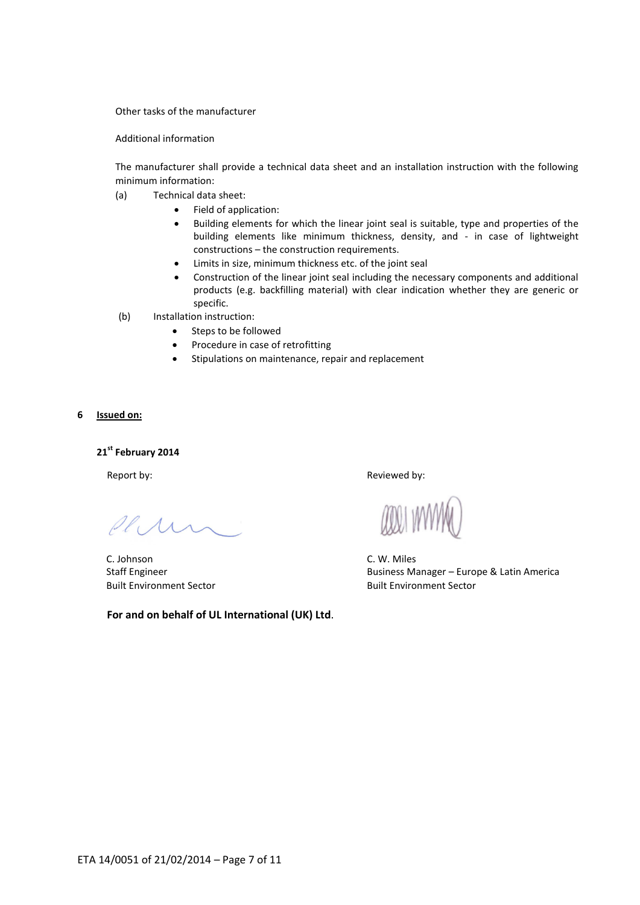#### Other tasks of the manufacturer

Additional information

The manufacturer shall provide a technical data sheet and an installation instruction with the following minimum information:

- (a) Technical data sheet:
	- Field of application:
	- Building elements for which the linear joint seal is suitable, type and properties of the building elements like minimum thickness, density, and - in case of lightweight constructions – the construction requirements.
	- Limits in size, minimum thickness etc. of the joint seal
	- Construction of the linear joint seal including the necessary components and additional products (e.g. backfilling material) with clear indication whether they are generic or specific.
- (b) Installation instruction:
	- Steps to be followed
	- Procedure in case of retrofitting
	- Stipulations on maintenance, repair and replacement

<span id="page-6-0"></span>**6 Issued on:**

**21 st February 2014**

 $\mathscr{P}$ le

C. Johnson C. W. Miles

**For and on behalf of UL International (UK) Ltd**.

Report by:  $\blacksquare$ 

Staff Engineer Business Manager – Europe & Latin America Built Environment Sector Built Environment Sector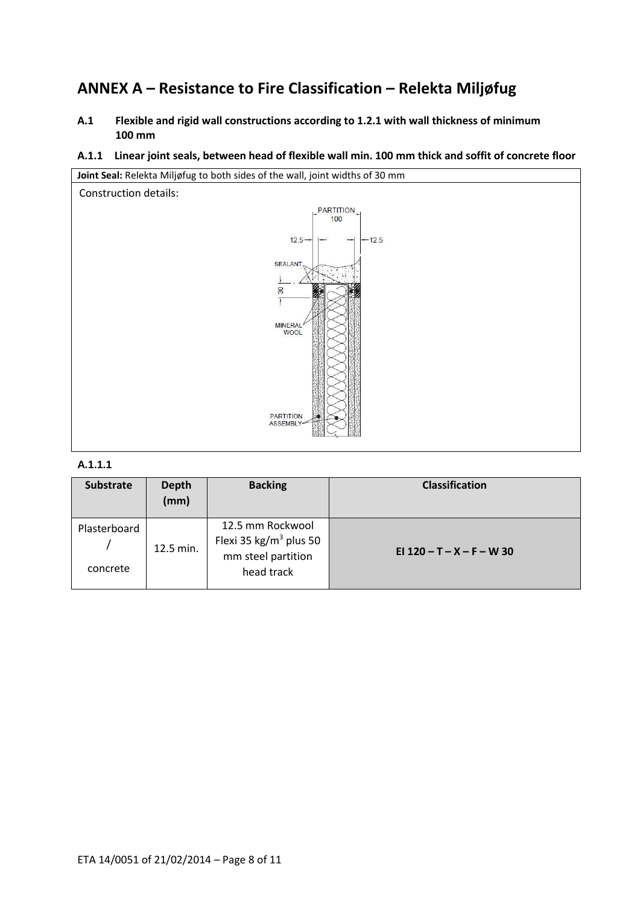## <span id="page-7-0"></span>**ANNEX A – Resistance to Fire Classification – Relekta Miljøfug**

- <span id="page-7-1"></span>**A.1 Flexible and rigid wall constructions according to 1.2.1 with wall thickness of minimum 100 mm**
- <span id="page-7-2"></span>**A.1.1 Linear joint seals, between head of flexible wall min. 100 mm thick and soffit of concrete floor**



## **A.1.1.1**

| <b>Substrate</b>         | <b>Depth</b><br>(mm) | <b>Backing</b>                                                                             | <b>Classification</b>       |
|--------------------------|----------------------|--------------------------------------------------------------------------------------------|-----------------------------|
| Plasterboard<br>concrete | 12.5 min.            | 12.5 mm Rockwool<br>Flexi 35 kg/m <sup>3</sup> plus 50<br>mm steel partition<br>head track | EI $120 - T - X - F - W$ 30 |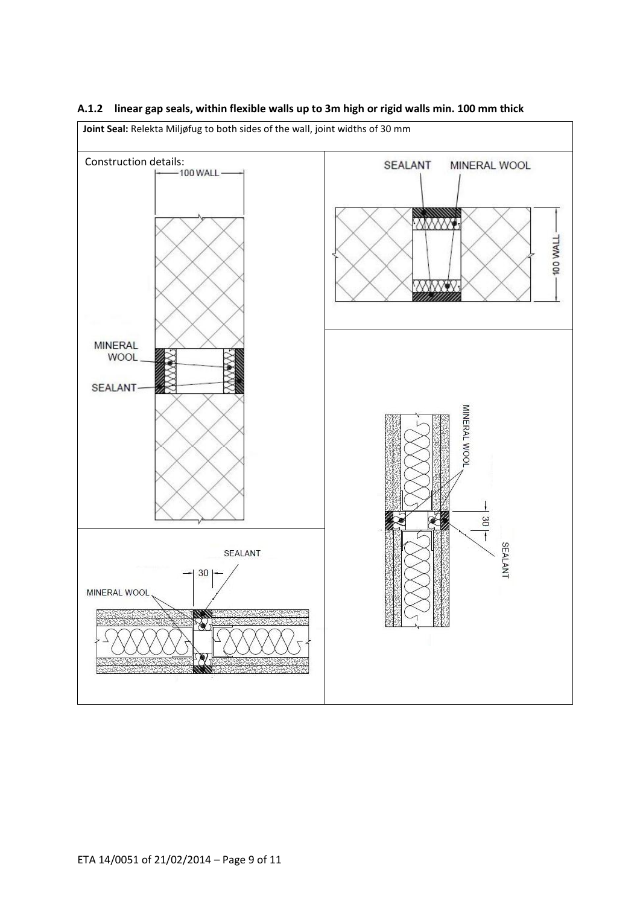

## <span id="page-8-0"></span>**A.1.2 linear gap seals, within flexible walls up to 3m high or rigid walls min. 100 mm thick**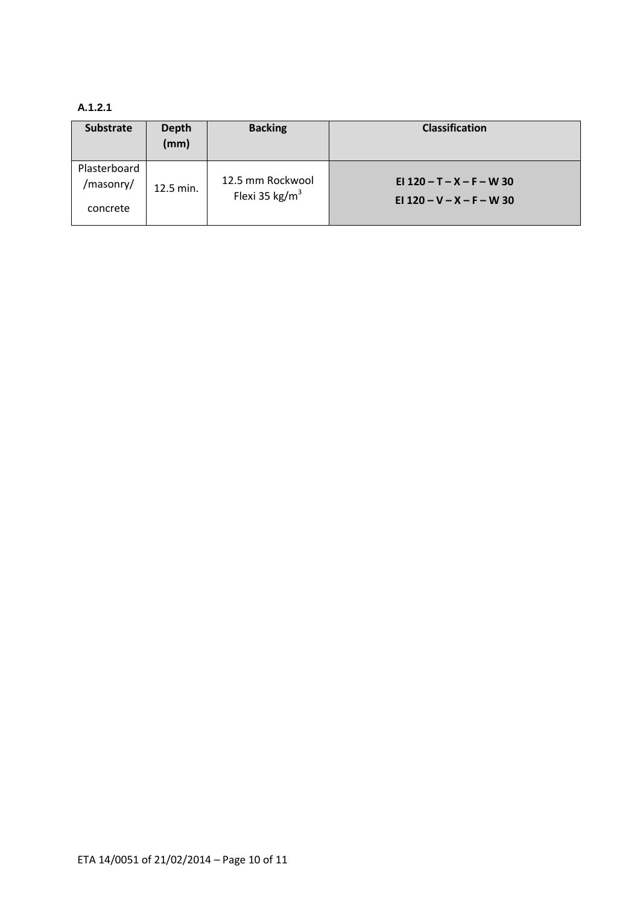## **A.1.2.1**

<span id="page-9-0"></span>

| <b>Substrate</b>          | <b>Depth</b><br>(mm) | <b>Backing</b>                        | <b>Classification</b>                                      |
|---------------------------|----------------------|---------------------------------------|------------------------------------------------------------|
| Plasterboard<br>/masonry/ | 12.5 min.            | 12.5 mm Rockwool<br>Flexi 35 kg/ $m3$ | EI $120 - T - X - F - W$ 30<br>EI $120 - V - X - F - W$ 30 |
| concrete                  |                      |                                       |                                                            |